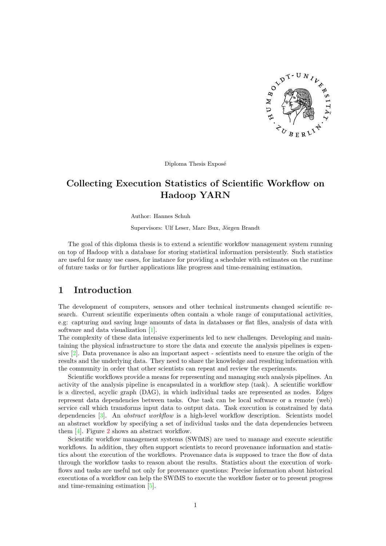

Diploma Thesis Exposé

# **Collecting Execution Statistics of Scientific Workflow on Hadoop YARN**

Author: Hannes Schuh

Supervisors: Ulf Leser, Marc Bux, Jörgen Brandt

The goal of this diploma thesis is to extend a scientific workflow management system running on top of Hadoop with a database for storing statistical information persistently. Such statistics are useful for many use cases, for instance for providing a scheduler with estimates on the runtime of future tasks or for further applications like progress and time-remaining estimation.

## **1 Introduction**

The development of computers, sensors and other technical instruments changed scientific research. Current scientific experiments often contain a whole range of computational activities, e.g: capturing and saving huge amounts of data in databases or flat files, analysis of data with software and data visualization [\[1\]](#page-8-0).

The complexity of these data intensive experiments led to new challenges. Developing and maintaining the physical infrastructure to store the data and execute the analysis pipelines is expensive [\[2\]](#page-8-1). Data provenance is also an important aspect - scientists need to ensure the origin of the results and the underlying data. They need to share the knowledge and resulting information with the community in order that other scientists can repeat and review the experiments.

Scientific workflows provide a means for representing and managing such analysis pipelines. An activity of the analysis pipeline is encapsulated in a workflow step (task). A scientific workflow is a directed, acyclic graph (DAG), in which individual tasks are represented as nodes. Edges represent data dependencies between tasks. One task can be local software or a remote (web) service call which transforms input data to output data. Task execution is constrained by data dependencies [\[3\]](#page-8-2). An *abstract workflow* is a high-level workflow description. Scientists model an abstract workflow by specifying a set of individual tasks and the data dependencies between them [\[4\]](#page-8-3). Figure [2](#page-10-0) shows an abstract workflow.

Scientific workflow management systems (SWfMS) are used to manage and execute scientific workflows. In addition, they often support scientists to record provenance information and statistics about the execution of the workflows. Provenance data is supposed to trace the flow of data through the workflow tasks to reason about the results. Statistics about the execution of workflows and tasks are useful not only for provenance questions: Precise information about historical executions of a workflow can help the SWfMS to execute the workflow faster or to present progress and time-remaining estimation [\[5\]](#page-8-4).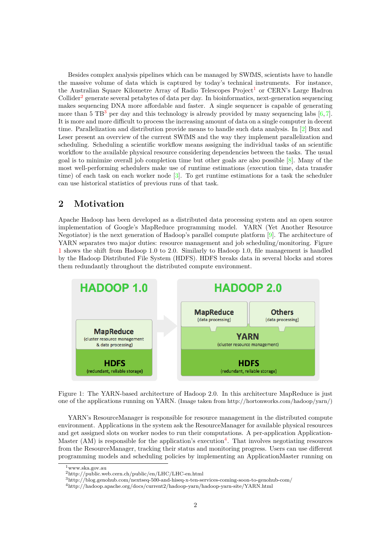Besides complex analysis pipelines which can be managed by SWfMS, scientists have to handle the massive volume of data which is captured by today's technical instruments. For instance, the Australian Square Kilometre Array of Radio Telescopes Project<sup>[1](#page-1-0)</sup> or CERN's Large Hadron Collider<sup>[2](#page-1-1)</sup> generate several petabytes of data per day. In bioinformatics, next-generation sequencing makes sequencing DNA more affordable and faster. A single sequencer is capable of generating more than 5 TB<sup>[3](#page-1-2)</sup> per day and this technology is already provided by many sequencing labs  $[6, 7]$  $[6, 7]$  $[6, 7]$ . It is more and more difficult to process the increasing amount of data on a single computer in decent time. Parallelization and distribution provide means to handle such data analysis. In [\[2\]](#page-8-1) Bux and Leser present an overview of the current SWfMS and the way they implement parallelization and scheduling. Scheduling a scientific workflow means assigning the individual tasks of an scientific workflow to the available physical resource considering dependencies between the tasks. The usual goal is to minimize overall job completion time but other goals are also possible  $[8]$ . Many of the most well-performing schedulers make use of runtime estimations (execution time, data transfer time) of each task on each worker node [\[3\]](#page-8-2). To get runtime estimations for a task the scheduler can use historical statistics of previous runs of that task.

## **2 Motivation**

Apache Hadoop has been developed as a distributed data processing system and an open source implementation of Google's MapReduce programming model. YARN (Yet Another Resource Negotiator) is the next generation of Hadoop's parallel compute platform [\[9\]](#page-8-8). The architecture of YARN separates two major duties: resource management and job scheduling/monitoring. Figure [1](#page-1-3) shows the shift from Hadoop 1.0 to 2.0. Similarly to Hadoop 1.0, file management is handled by the Hadoop Distributed File System (HDFS). HDFS breaks data in several blocks and stores them redundantly throughout the distributed compute environment.



<span id="page-1-3"></span>Figure 1: The YARN-based architecture of Hadoop 2.0. In this architecture MapReduce is just one of the applications running on YARN. (Image taken from http://hortonworks.com/hadoop/yarn/)

YARN's ResourceManager is responsible for resource management in the distributed compute environment. Applications in the system ask the ResourceManager for available physical resources and get assigned slots on worker nodes to run their computations. A per-application Application-Master (AM) is responsible for the application's execution<sup>[4](#page-1-4)</sup>. That involves negotiating resources from the ResourceManager, tracking their status and monitoring progress. Users can use different programming models and scheduling policies by implementing an ApplicationMaster running on

<span id="page-1-0"></span> $1$ www.ska.gov.au

<span id="page-1-1"></span><sup>2</sup>http://public.web.cern.ch/public/en/LHC/LHC-en.html

<span id="page-1-2"></span><sup>3</sup>http://blog.genohub.com/nextseq-500-and-hiseq-x-ten-services-coming-soon-to-genohub-com/

<span id="page-1-4"></span><sup>4</sup>http://hadoop.apache.org/docs/current2/hadoop-yarn/hadoop-yarn-site/YARN.html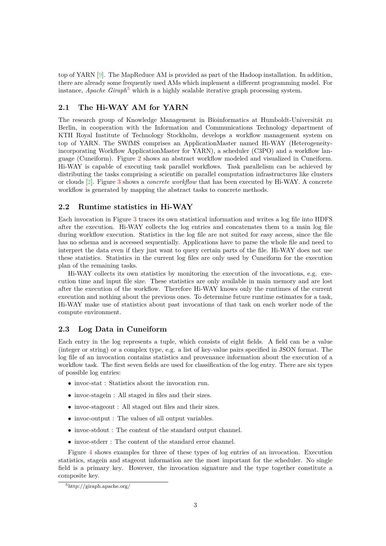top of YARN [\[9\]](#page-8-8). The MapReduce AM is provided as part of the Hadoop installation. In addition, there are already some frequently used AMs which implement a different programming model. For instance, *Apache Giraph*<sup>[5](#page-2-0)</sup> which is a highly scalable iterative graph processing system.

### **2.1 The Hi-WAY AM for YARN**

The research group of Knowledge Management in Bioinformatics at Humboldt-Universität zu Berlin, in cooperation with the Information and Communications Technology department of KTH Royal Institute of Technology Stockholm, develops a workflow management system on top of YARN. The SWfMS comprises an ApplicationMaster named Hi-WAY (Heterogeneityincorporating Workflow ApplicationMaster for YARN), a scheduler (C3PO) and a workflow language (Cuneiform). Figure [2](#page-10-0) shows an abstract workflow modeled and visualized in Cuneiform. Hi-WAY is capable of executing task parallel workflows. Task parallelism can be achieved by distributing the tasks comprising a scientific on parallel computation infrastructures like clusters or clouds [\[2\]](#page-8-1). Figure [3](#page-11-0) shows a *concrete workflow* that has been executed by Hi-WAY. A concrete workflow is generated by mapping the abstract tasks to concrete methods.

#### **2.2 Runtime statistics in Hi-WAY**

Each invocation in Figure [3](#page-11-0) traces its own statistical information and writes a log file into HDFS after the execution. Hi-WAY collects the log entries and concatenates them to a main log file during workflow execution. Statistics in the log file are not suited for easy access, since the file has no schema and is accessed sequentially. Applications have to parse the whole file and need to interpret the data even if they just want to query certain parts of the file. Hi-WAY does not use these statistics. Statistics in the current log files are only used by Cuneiform for the execution plan of the remaining tasks.

Hi-WAY collects its own statistics by monitoring the execution of the invocations, e.g. execution time and input file size. These statistics are only available in main memory and are lost after the execution of the workflow. Therefore Hi-WAY knows only the runtimes of the current execution and nothing about the previous ones. To determine future runtime estimates for a task, Hi-WAY make use of statistics about past invocations of that task on each worker node of the compute environment.

#### **2.3 Log Data in Cuneiform**

Each entry in the log represents a tuple, which consists of eight fields. A field can be a value (integer or string) or a complex type, e.g. a list of key-value pairs specified in JSON format. The log file of an invocation contains statistics and provenance information about the execution of a workflow task. The first seven fields are used for classification of the log entry. There are six types of possible log entries:

- $\bullet\,$  invoc-stat : Statistics about the invocation run.
- invoc-stagein : All staged in files and their sizes.
- invoc-stageout : All staged out files and their sizes.
- invoc-output : The values of all output variables.
- invoc-stdout : The content of the standard output channel.
- invoc-stderr : The content of the standard error channel.

Figure [4](#page-12-0) shows examples for three of these types of log entries of an invocation. Execution statistics, stagein and stageout information are the most important for the scheduler. No single field is a primary key. However, the invocation signature and the type together constitute a composite key.

<span id="page-2-0"></span><sup>5</sup>http://giraph.apache.org/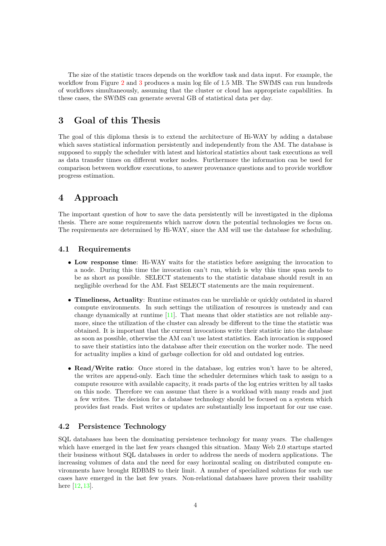The size of the statistic traces depends on the workflow task and data input. For example, the workflow from Figure [2](#page-10-0) and [3](#page-11-0) produces a main log file of 1.5 MB. The SWfMS can run hundreds of workflows simultaneously, assuming that the cluster or cloud has appropriate capabilities. In these cases, the SWfMS can generate several GB of statistical data per day.

## **3 Goal of this Thesis**

The goal of this diploma thesis is to extend the architecture of Hi-WAY by adding a database which saves statistical information persistently and independently from the AM. The database is supposed to supply the scheduler with latest and historical statistics about task executions as well as data transfer times on different worker nodes. Furthermore the information can be used for comparison between workflow executions, to answer provenance questions and to provide workflow progress estimation.

### **4 Approach**

The important question of how to save the data persistently will be investigated in the diploma thesis. There are some requirements which narrow down the potential technologies we focus on. The requirements are determined by Hi-WAY, since the AM will use the database for scheduling.

#### **4.1 Requirements**

- **Low response time**: Hi-WAY waits for the statistics before assigning the invocation to a node. During this time the invocation can't run, which is why this time span needs to be as short as possible. SELECT statements to the statistic database should result in an negligible overhead for the AM. Fast SELECT statements are the main requirement.
- **Timeliness, Actuality**: Runtime estimates can be unreliable or quickly outdated in shared compute environments. In such settings the utilization of resources is unsteady and can change dynamically at runtime [\[11\]](#page-8-9). That means that older statistics are not reliable anymore, since the utilization of the cluster can already be different to the time the statistic was obtained. It is important that the current invocations write their statistic into the database as soon as possible, otherwise the AM can't use latest statistics. Each invocation is supposed to save their statistics into the database after their execution on the worker node. The need for actuality implies a kind of garbage collection for old and outdated log entries.
- **Read/Write ratio**: Once stored in the database, log entries won't have to be altered, the writes are append-only. Each time the scheduler determines which task to assign to a compute resource with available capacity, it reads parts of the log entries written by all tasks on this node. Therefore we can assume that there is a workload with many reads and just a few writes. The decision for a database technology should be focused on a system which provides fast reads. Fast writes or updates are substantially less important for our use case.

### **4.2 Persistence Technology**

SQL databases has been the dominating persistence technology for many years. The challenges which have emerged in the last few years changed this situation. Many Web 2.0 startups started their business without SQL databases in order to address the needs of modern applications. The increasing volumes of data and the need for easy horizontal scaling on distributed compute environments have brought RDBMS to their limit. A number of specialized solutions for such use cases have emerged in the last few years. Non-relational databases have proven their usability here [\[12,](#page-8-10) [13\]](#page-8-11).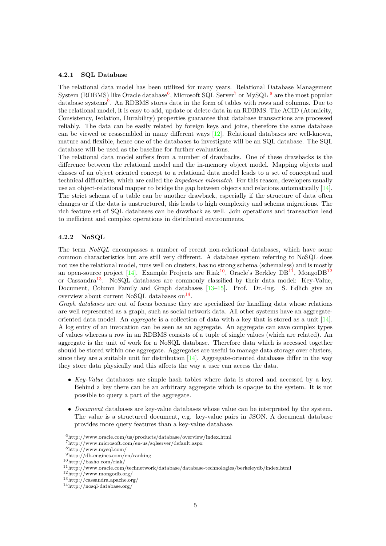#### **4.2.1 SQL Database**

The relational data model has been utilized for many years. Relational Database Management System (RDBMS) like Oracle database<sup>[6](#page-4-0)</sup>, Microsoft SQL Server<sup>[7](#page-4-1)</sup> or MySQL  $^8$  $^8$  are the most popular database systems<sup>[9](#page-4-3)</sup>. An RDBMS stores data in the form of tables with rows and columns. Due to the relational model, it is easy to add, update or delete data in an RDBMS. The ACID (Atomicity, Consistency, Isolation, Durability) properties guarantee that database transactions are processed reliably. The data can be easily related by foreign keys and joins, therefore the same database can be viewed or reassembled in many different ways [\[12\]](#page-8-10). Relational databases are well-known, mature and flexible, hence one of the databases to investigate will be an SQL database. The SQL database will be used as the baseline for further evaluations.

The relational data model suffers from a number of drawbacks. One of these drawbacks is the difference between the relational model and the in-memory object model. Mapping objects and classes of an object oriented concept to a relational data model leads to a set of conceptual and technical difficulties, which are called the *impedance mismatch*. For this reason, developers usually use an object-relational mapper to bridge the gap between objects and relations automatically [\[14\]](#page-8-12). The strict schema of a table can be another drawback, especially if the structure of data often changes or if the data is unstructured, this leads to high complexity and schema migrations. The rich feature set of SQL databases can be drawback as well. Join operations and transaction lead to inefficient and complex operations in distributed environments.

#### **4.2.2 NoSQL**

The term *NoSQL* encompasses a number of recent non-relational databases, which have some common characteristics but are still very different. A database system referring to NoSQL does not use the relational model, runs well on clusters, has no strong schema (schemaless) and is mostly an open-source project [\[14\]](#page-8-12). Example Projects are Riak<sup>[10](#page-4-4)</sup>, Oracle's Berkley  $DB^{11}$  $DB^{11}$  $DB^{11}$ , Mongo $DB^{12}$  $DB^{12}$  $DB^{12}$ or Cassandra[13](#page-4-7). NoSQL databases are commonly classified by their data model: Key-Value, Document, Column Family and Graph databases [\[13](#page-8-11)[–15\]](#page-8-13). Prof. Dr.-Ing. S. Edlich give an overview about current NoSQL databases on  $^{14}$  $^{14}$  $^{14}$ .

*Graph databases* are out of focus because they are specialized for handling data whose relations are well represented as a graph, such as social network data. All other systems have an aggregateoriented data model. An *aggregate* is a collection of data with a key that is stored as a unit [\[14\]](#page-8-12). A log entry of an invocation can be seen as an aggregate. An aggregate can save complex types of values whereas a row in an RDBMS consists of a tuple of single values (which are related). An aggregate is the unit of work for a NoSQL database. Therefore data which is accessed together should be stored within one aggregate. Aggregates are useful to manage data storage over clusters, since they are a suitable unit for distribution  $[14]$ . Aggregate-oriented databases differ in the way they store data physically and this affects the way a user can access the data.

- *Key-Value* databases are simple hash tables where data is stored and accessed by a key. Behind a key there can be an arbitrary aggregate which is opaque to the system. It is not possible to query a part of the aggregate.
- *Document* databases are key-value databases whose value can be interpreted by the system. The value is a structured document, e.g. key-value pairs in JSON. A document database provides more query features than a key-value database.

<span id="page-4-0"></span><sup>6</sup>http://www.oracle.com/us/products/database/overview/index.html

<span id="page-4-1"></span> $7{\rm http://www.microsoft.com/en-us/sqlserver/default.aspx}$ 

<span id="page-4-2"></span><sup>8</sup>http://www.mysql.com/

<span id="page-4-4"></span><span id="page-4-3"></span><sup>9</sup>http://db-engines.com/en/ranking

 $10$ http://basho.com/riak/

<span id="page-4-5"></span><sup>11</sup>http://www.oracle.com/technetwork/database/database-technologies/berkeleydb/index.html

<span id="page-4-6"></span><sup>12</sup>http://www.mongodb.org/

<span id="page-4-7"></span><sup>13</sup>http://cassandra.apache.org/

<span id="page-4-8"></span><sup>14</sup>http://nosql-database.org/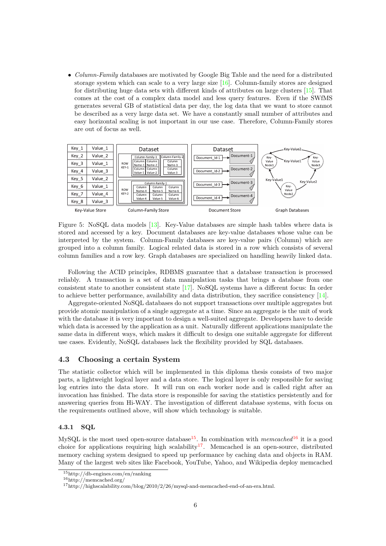• *Column-Family* databases are motivated by Google Big Table and the need for a distributed storage system which can scale to a very large size  $[16]$ . Column-family stores are designed for distributing huge data sets with different kinds of attributes on large clusters [\[15\]](#page-8-13). That comes at the cost of a complex data model and less query features. Even if the SWfMS generates several GB of statistical data per day, the log data that we want to store cannot be described as a very large data set. We have a constantly small number of attributes and easy horizontal scaling is not important in our use case. Therefore, Column-Family stores are out of focus as well.



Figure 5: NoSQL data models [\[13\]](#page-8-11). Key-Value databases are simple hash tables where data is stored and accessed by a key. Document databases are key-value databases whose value can be interpreted by the system. Column-Family databases are key-value pairs (Column) which are grouped into a column family. Logical related data is stored in a row which consists of several column families and a row key. Graph databases are specialized on handling heavily linked data.

Following the ACID principles, RDBMS guarantee that a database transaction is processed reliably. A transaction is a set of data manipulation tasks that brings a database from one consistent state to another consistent state [\[17\]](#page-9-0). NoSQL systems have a different focus: In order to achieve better performance, availability and data distribution, they sacrifice consistency [\[14\]](#page-8-12).

Aggregate-oriented NoSQL databases do not support transactions over multiple aggregates but provide atomic manipulation of a single aggregate at a time. Since an aggregate is the unit of work with the database it is very important to design a well-suited aggregate. Developers have to decide which data is accessed by the application as a unit. Naturally different applications manipulate the same data in different ways, which makes it difficult to design one suitable aggregate for different use cases. Evidently, NoSQL databases lack the flexibility provided by SQL databases.

#### **4.3 Choosing a certain System**

The statistic collector which will be implemented in this diploma thesis consists of two major parts, a lightweight logical layer and a data store. The logical layer is only responsible for saving log entries into the data store. It will run on each worker node and is called right after an invocation has finished. The data store is responsible for saving the statistics persistently and for answering queries from Hi-WAY. The investigation of different database systems, with focus on the requirements outlined above, will show which technology is suitable.

#### **4.3.1 SQL**

MySQL is the most used open-source database<sup>[15](#page-5-0)</sup>. In combination with *memcached*<sup>[16](#page-5-1)</sup> it is a good choice for applications requiring high scalability<sup>[17](#page-5-2)</sup>. Memcached is an open-source, distributed memory caching system designed to speed up performance by caching data and objects in RAM. Many of the largest web sites like Facebook, YouTube, Yahoo, and Wikipedia deploy memcached

<span id="page-5-0"></span><sup>15</sup>http://db-engines.com/en/ranking

<span id="page-5-1"></span><sup>16</sup>http://memcached.org/

<span id="page-5-2"></span><sup>17</sup>http://highscalability.com/blog/2010/2/26/mysql-and-memcached-end-of-an-era.html.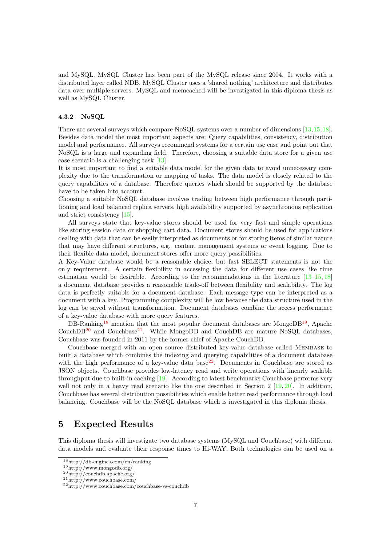and MySQL. MySQL Cluster has been part of the MySQL release since 2004. It works with a distributed layer called NDB. MySQL Cluster uses a 'shared nothing' architecture and distributes data over multiple servers. MySQL and memcached will be investigated in this diploma thesis as well as MySQL Cluster.

#### **4.3.2 NoSQL**

There are several surveys which compare NoSQL systems over a number of dimensions [\[13,](#page-8-11) [15,](#page-8-13) [18\]](#page-9-1). Besides data model the most important aspects are: Query capabilities, consistency, distribution model and performance. All surveys recommend systems for a certain use case and point out that NoSQL is a large and expanding field. Therefore, choosing a suitable data store for a given use case scenario is a challenging task [\[13\]](#page-8-11).

It is most important to find a suitable data model for the given data to avoid unnecessary complexity due to the transformation or mapping of tasks. The data model is closely related to the query capabilities of a database. Therefore queries which should be supported by the database have to be taken into account.

Choosing a suitable NoSQL database involves trading between high performance through partitioning and load balanced replica servers, high availability supported by asynchronous replication and strict consistency [\[15\]](#page-8-13).

All surveys state that key-value stores should be used for very fast and simple operations like storing session data or shopping cart data. Document stores should be used for applications dealing with data that can be easily interpreted as documents or for storing items of similar nature that may have different structures, e.g. content management systems or event logging. Due to their flexible data model, document stores offer more query possibilities.

A Key-Value database would be a reasonable choice, but fast SELECT statements is not the only requirement. A certain flexibility in accessing the data for different use cases like time estimation would be desirable. According to the recommendations in the literature  $[13-15, 18]$  $[13-15, 18]$  $[13-15, 18]$  $[13-15, 18]$ a document database provides a reasonable trade-off between flexibility and scalability. The log data is perfectly suitable for a document database. Each message type can be interpreted as a document with a key. Programming complexity will be low because the data structure used in the log can be saved without transformation. Document databases combine the access performance of a key-value database with more query features.

DB-Ranking<sup>[18](#page-6-0)</sup> mention that the most popular document databases are MongoDB<sup>[19](#page-6-1)</sup>, Apache CouchDB<sup>[20](#page-6-2)</sup> and Couchbase<sup>[21](#page-6-3)</sup>. While MongoDB and CouchDB are mature NoSOL databases, Couchbase was founded in 2011 by the former chief of Apache CouchDB.

Couchbase merged with an open source distributed key-value database called Membase to built a database which combines the indexing and querying capabilities of a document database with the high performance of a key-value data base<sup>[22](#page-6-4)</sup>. Documents in Couchbase are stored as JSON objects. Couchbase provides low-latency read and write operations with linearly scalable throughput due to built-in caching [\[19\]](#page-9-2). According to latest benchmarks Couchbase performs very well not only in a heavy read scenario like the one described in Section 2 [\[19,](#page-9-2) [20\]](#page-9-3). In addition, Couchbase has several distribution possibilities which enable better read performance through load balancing. Couchbase will be the NoSQL database which is investigated in this diploma thesis.

### **5 Expected Results**

This diploma thesis will investigate two database systems (MySQL and Couchbase) with different data models and evaluate their response times to Hi-WAY. Both technologies can be used on a

<span id="page-6-0"></span><sup>18</sup>http://db-engines.com/en/ranking

<span id="page-6-1"></span><sup>19</sup>http://www.mongodb.org/

<span id="page-6-2"></span><sup>20</sup>http://couchdb.apache.org/

<span id="page-6-3"></span><sup>21</sup>http://www.couchbase.com/

<span id="page-6-4"></span><sup>22</sup>http://www.couchbase.com/couchbase-vs-couchdb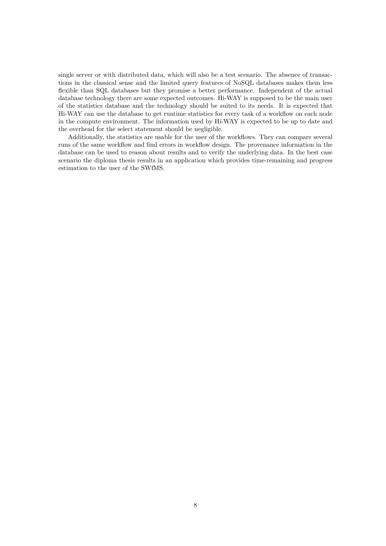single server or with distributed data, which will also be a test scenario. The absence of transactions in the classical sense and the limited query features of NoSQL databases makes them less flexible than SQL databases but they promise a better performance. Independent of the actual database technology there are some expected outcomes. Hi-WAY is supposed to be the main user of the statistics database and the technology should be suited to its needs. It is expected that Hi-WAY can use the database to get runtime statistics for every task of a workflow on each node in the compute environment. The information used by Hi-WAY is expected to be up to date and the overhead for the select statement should be negligible.

Additionally, the statistics are usable for the user of the workflows. They can compare several runs of the same workflow and find errors in workflow design. The provenance information in the database can be used to reason about results and to verify the underlying data. In the best case scenario the diploma thesis results in an application which provides time-remaining and progress estimation to the user of the SWfMS.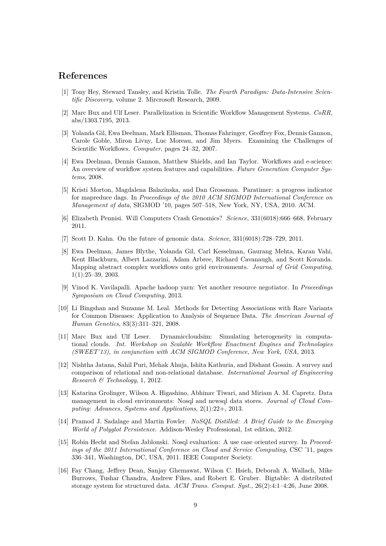### **References**

- <span id="page-8-0"></span>[1] Tony Hey, Steward Tansley, and Kristin Tolle. *The Fourth Paradigm: Data-Intensive Scientific Discovery*, volume 2. Mircrosoft Research, 2009.
- <span id="page-8-1"></span>[2] Marc Bux and Ulf Leser. Parallelization in Scientific Workflow Management Systems. *CoRR*, abs/1303.7195, 2013.
- <span id="page-8-2"></span>[3] Yolanda Gil, Ewa Deelman, Mark Ellisman, Thomas Fahringer, Geoffrey Fox, Dennis Gannon, Carole Goble, Miron Livny, Luc Moreau, and Jim Myers. Examining the Challenges of Scientific Workflows. *Computer*, pages 24–32, 2007.
- <span id="page-8-3"></span>[4] Ewa Deelman, Dennis Gannon, Matthew Shields, and Ian Taylor. Workflows and e-science: An overview of workflow system features and capabilities. *Future Generation Computer Systems*, 2008.
- <span id="page-8-4"></span>[5] Kristi Morton, Magdalena Balazinska, and Dan Grossman. Paratimer: a progress indicator for mapreduce dags. In *Proceedings of the 2010 ACM SIGMOD International Conference on Management of data*, SIGMOD '10, pages 507–518, New York, NY, USA, 2010. ACM.
- <span id="page-8-5"></span>[6] Elizabeth Pennisi. Will Computers Crash Genomics? *Science*, 331(6018):666–668, February 2011.
- <span id="page-8-6"></span>[7] Scott D. Kahn. On the future of genomic data. *Science*, 331(6018):728–729, 2011.
- <span id="page-8-7"></span>[8] Ewa Deelman, James Blythe, Yolanda Gil, Carl Kesselman, Gaurang Mehta, Karan Vahi, Kent Blackburn, Albert Lazzarini, Adam Arbree, Richard Cavanaugh, and Scott Koranda. Mapping abstract complex workflows onto grid environments. *Journal of Grid Computing*, 1(1):25–39, 2003.
- <span id="page-8-8"></span>[9] Vinod K. Vavilapalli. Apache hadoop yarn: Yet another resource negotiator. In *Proceedings Symposium on Cloud Computing*, 2013.
- <span id="page-8-15"></span>[10] Li Bingshan and Suzanne M. Leal. Methods for Detecting Associations with Rare Variants for Common Diseases: Application to Analysis of Sequence Data. *The American Journal of Human Genetics*, 83(3):311–321, 2008.
- <span id="page-8-9"></span>[11] Marc Bux and Ulf Leser. Dynamiccloudsim: Simulating heterogeneity in computational clouds. *Int. Workshop on Scalable Workflow Enactment Engines and Technologies (SWEET'13), in conjunction with ACM SIGMOD Conference, New York, USA*, 2013.
- <span id="page-8-10"></span>[12] Nishtha Jatana, Sahil Puri, Mehak Ahuja, Ishita Kathuria, and Dishant Gosain. A survey and comparison of relational and non-relational database. *International Journal of Engineering Research & Technology*, 1, 2012.
- <span id="page-8-11"></span>[13] Katarina Grolinger, Wilson A. Higashino, Abhinav Tiwari, and Miriam A. M. Capretz. Data management in cloud environments: Nosql and newsql data stores. *Journal of Cloud Computing: Advances, Systems and Applications*, 2(1):22+, 2013.
- <span id="page-8-12"></span>[14] Pramod J. Sadalage and Martin Fowler. *NoSQL Distilled: A Brief Guide to the Emerging World of Polyglot Persistence*. Addison-Wesley Professional, 1st edition, 2012.
- <span id="page-8-13"></span>[15] Robin Hecht and Stefan Jablonski. Nosql evaluation: A use case oriented survey. In *Proceedings of the 2011 International Conference on Cloud and Service Computing*, CSC '11, pages 336–341, Washington, DC, USA, 2011. IEEE Computer Society.
- <span id="page-8-14"></span>[16] Fay Chang, Jeffrey Dean, Sanjay Ghemawat, Wilson C. Hsieh, Deborah A. Wallach, Mike Burrows, Tushar Chandra, Andrew Fikes, and Robert E. Gruber. Bigtable: A distributed storage system for structured data. *ACM Trans. Comput. Syst.*, 26(2):4:1–4:26, June 2008.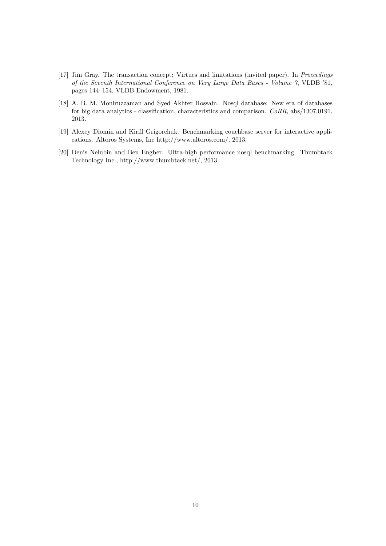- <span id="page-9-0"></span>[17] Jim Gray. The transaction concept: Virtues and limitations (invited paper). In *Proceedings of the Seventh International Conference on Very Large Data Bases - Volume 7*, VLDB '81, pages 144–154. VLDB Endowment, 1981.
- <span id="page-9-1"></span>[18] A. B. M. Moniruzzaman and Syed Akhter Hossain. Nosql database: New era of databases for big data analytics - classification, characteristics and comparison. *CoRR*, abs/1307.0191, 2013.
- <span id="page-9-2"></span>[19] Alexey Diomin and Kirill Grigorchuk. Benchmarking couchbase server for interactive applications. Altoros Systems, Inc http://www.altoros.com/, 2013.
- <span id="page-9-3"></span>[20] Denis Nelubin and Ben Engber. Ultra-high performance nosql benchmarking. Thumbtack Technology Inc., http://www.thumbtack.net/, 2013.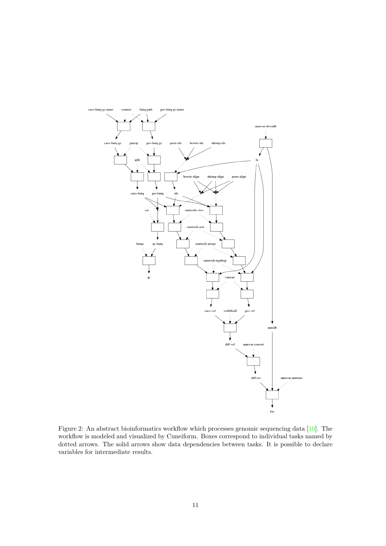

<span id="page-10-0"></span>Figure 2: An abstract bioinformatics workflow which processes genomic sequencing data [\[10\]](#page-8-15). The workflow is modeled and visualized by Cuneiform. Boxes correspond to individual tasks named by dotted arrows. The solid arrows show data dependencies between tasks. It is possible to declare variables for intermediate results.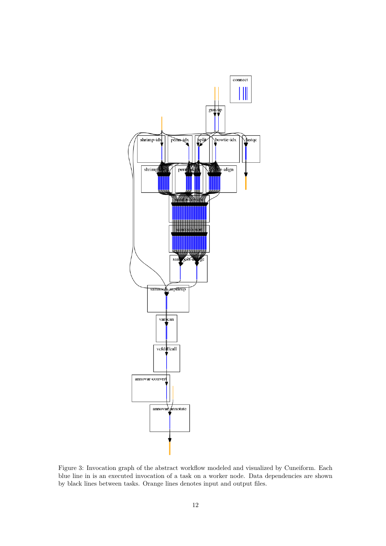

<span id="page-11-0"></span>Figure 3: Invocation graph of the abstract workflow modeled and visualized by Cuneiform. Each blue line in is an executed invocation of a task on a worker node. Data dependencies are shown by black lines between tasks. Orange lines denotes input and output files.